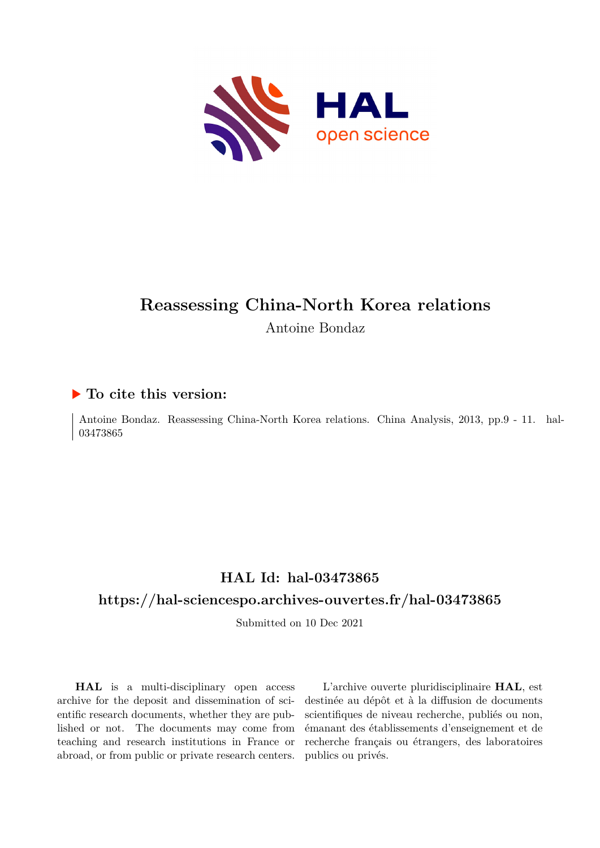

# **Reassessing China-North Korea relations** Antoine Bondaz

## **To cite this version:**

Antoine Bondaz. Reassessing China-North Korea relations. China Analysis, 2013, pp.9 - 11. hal-03473865

# **HAL Id: hal-03473865**

# **<https://hal-sciencespo.archives-ouvertes.fr/hal-03473865>**

Submitted on 10 Dec 2021

**HAL** is a multi-disciplinary open access archive for the deposit and dissemination of scientific research documents, whether they are published or not. The documents may come from teaching and research institutions in France or abroad, or from public or private research centers.

L'archive ouverte pluridisciplinaire **HAL**, est destinée au dépôt et à la diffusion de documents scientifiques de niveau recherche, publiés ou non, émanant des établissements d'enseignement et de recherche français ou étrangers, des laboratoires publics ou privés.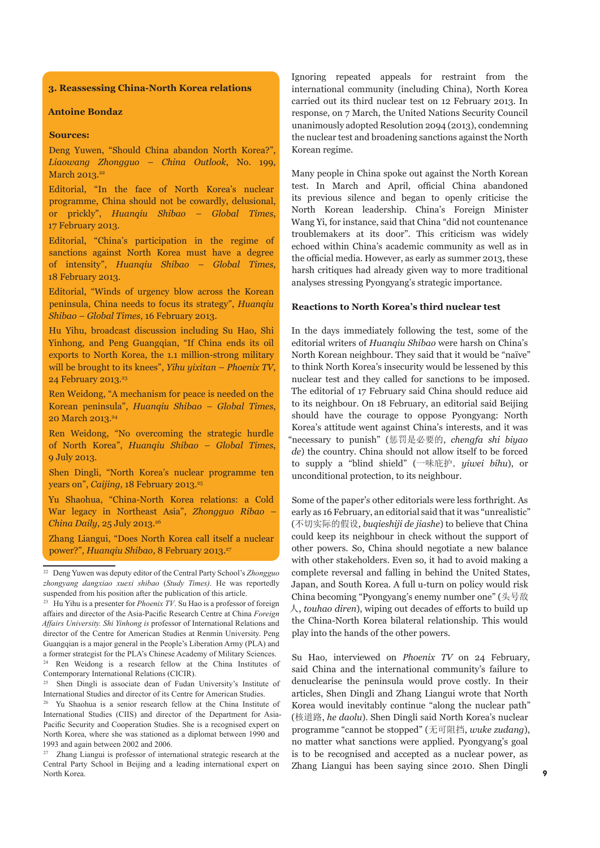### **3. Reassessing China-North Korea relations**

#### **Antoine Bondaz**

#### **Sources:**

Deng Yuwen, "Should China abandon North Korea?", *Liaowang Zhongguo – China Outlook*, No. 199, March 2013.<sup>22</sup>

Editorial, "In the face of North Korea's nuclear programme, China should not be cowardly, delusional, or prickly", *Huanqiu Shibao – Global Times*, 17 February 2013.

Editorial, "China's participation in the regime of sanctions against North Korea must have a degree of intensity", *Huanqiu Shibao – Global Times*, 18 February 2013.

Editorial, "Winds of urgency blow across the Korean peninsula, China needs to focus its strategy", *Huanqiu Shibao – Global Times*, 16 February 2013.

Hu Yihu, broadcast discussion including Su Hao, Shi Yinhong, and Peng Guangqian, "If China ends its oil exports to North Korea, the 1.1 million-strong military will be brought to its knees", *Yihu yixitan* – *Phoenix TV*, 24 February 2013.<sup>23</sup>

Ren Weidong, "A mechanism for peace is needed on the Korean peninsula", *Huanqiu Shibao – Global Times*, 20 March 2013.24

Ren Weidong, "No overcoming the strategic hurdle of North Korea", *Huanqiu Shibao – Global Times*, 9 July 2013.

Shen Dingli, "North Korea's nuclear programme ten years on", *Caijing*, 18 February 2013.<sup>25</sup>

Yu Shaohua, "China-North Korea relations: a Cold War legacy in Northeast Asia", *Zhongguo Ribao – China Daily*, 25 July 2013.26

Zhang Liangui, "Does North Korea call itself a nuclear power?", *Huanqiu Shibao*, 8 February 2013.<sup>27</sup>

Ignoring repeated appeals for restraint from the international community (including China), North Korea carried out its third nuclear test on 12 February 2013. In response, on 7 March, the United Nations Security Council unanimously adopted Resolution 2094 (2013), condemning the nuclear test and broadening sanctions against the North Korean regime.

Many people in China spoke out against the North Korean test. In March and April, official China abandoned its previous silence and began to openly criticise the North Korean leadership. China's Foreign Minister Wang Yi, for instance, said that China "did not countenance troublemakers at its door". This criticism was widely echoed within China's academic community as well as in the official media. However, as early as summer 2013, these harsh critiques had already given way to more traditional analyses stressing Pyongyang's strategic importance.

#### **Reactions to North Korea's third nuclear test**

In the days immediately following the test, some of the editorial writers of *Huanqiu Shibao* were harsh on China's North Korean neighbour. They said that it would be "naïve" to think North Korea's insecurity would be lessened by this nuclear test and they called for sanctions to be imposed. The editorial of 17 February said China should reduce aid to its neighbour. On 18 February, an editorial said Beijing should have the courage to oppose Pyongyang: North Korea's attitude went against China's interests, and it was "necessary to punish" (惩罚是必要的, *chengfa shi biyao de*) the country. China should not allow itself to be forced to supply a "blind shield" (一味庇护,*yiwei bihu*), or unconditional protection, to its neighbour.

Some of the paper's other editorials were less forthright. As early as 16 February, an editorial said that it was "unrealistic" (不切实际的假设, *buqieshiji de jiashe*) to believe that China could keep its neighbour in check without the support of other powers. So, China should negotiate a new balance with other stakeholders. Even so, it had to avoid making a complete reversal and falling in behind the United States, Japan, and South Korea. A full u-turn on policy would risk China becoming "Pyongyang's enemy number one" (头号敌 人, *touhao diren*), wiping out decades of efforts to build up the China-North Korea bilateral relationship. This would play into the hands of the other powers.

Su Hao, interviewed on *Phoenix TV* on 24 February, said China and the international community's failure to denuclearise the peninsula would prove costly. In their articles, Shen Dingli and Zhang Liangui wrote that North Korea would inevitably continue "along the nuclear path" (核道路, *he daolu*). Shen Dingli said North Korea's nuclear programme "cannot be stopped" (无可阻挡, *wuke zudang*), no matter what sanctions were applied. Pyongyang's goal is to be recognised and accepted as a nuclear power, as Zhang Liangui has been saying since 2010. Shen Dingli

<sup>22</sup> Deng Yuwen was deputy editor of the Central Party School's *Zhongguo zhongyang dangxiao xuexi shibao* (*Study Times)*. He was reportedly suspended from his position after the publication of this article.

<sup>&</sup>lt;sup>23</sup> Hu Yihu is a presenter for *Phoenix TV*. Su Hao is a professor of foreign affairs and director of the Asia-Pacific Research Centre at China *Foreign Affairs University. Shi Yinhong is* professor of International Relations and director of the Centre for American Studies at Renmin University. Peng Guangqian is a major general in the People's Liberation Army (PLA) and a former strategist for the PLA's Chinese Academy of Military Sciences.

<sup>24</sup> Ren Weidong is a research fellow at the China Institutes of Contemporary International Relations (CICIR). <sup>25</sup> Shen Dingli is associate dean of Fudan University's Institute of

International Studies and director of its Centre for American Studies.

<sup>&</sup>lt;sup>26</sup> Yu Shaohua is a senior research fellow at the China Institute of International Studies (CIIS) and director of the Department for Asia-Pacific Security and Cooperation Studies. She is a recognised expert on North Korea, where she was stationed as a diplomat between 1990 and 1993 and again between 2002 and 2006.

<sup>27</sup> Zhang Liangui is professor of international strategic research at the Central Party School in Beijing and a leading international expert on North Korea.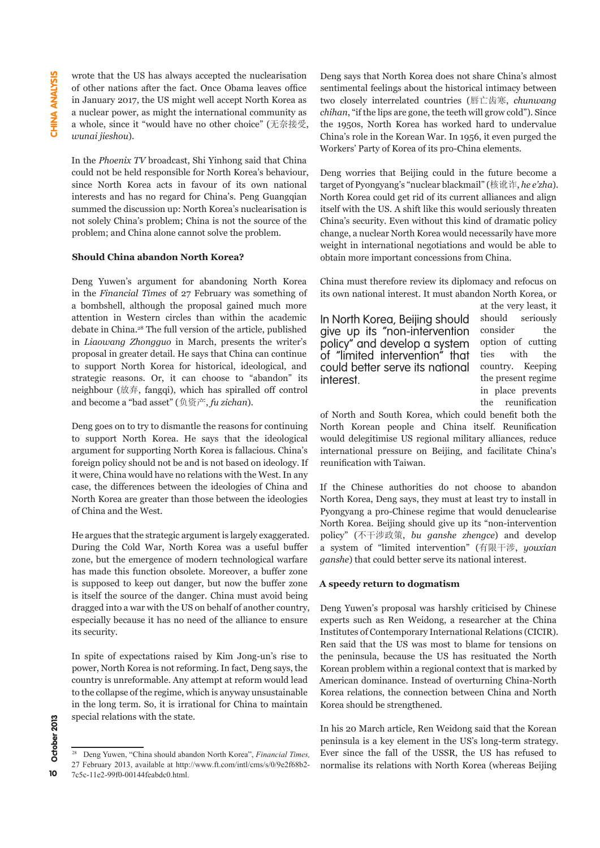wrote that the US has always accepted the nuclearisation of other nations after the fact. Once Obama leaves office in January 2017, the US might well accept North Korea as a nuclear power, as might the international community as a whole, since it "would have no other choice" (无奈接受, *wunai jieshou*).

In the *Phoenix TV* broadcast, Shi Yinhong said that China could not be held responsible for North Korea's behaviour, since North Korea acts in favour of its own national interests and has no regard for China's. Peng Guangqian summed the discussion up: North Korea's nuclearisation is not solely China's problem; China is not the source of the problem; and China alone cannot solve the problem.

### **Should China abandon North Korea?**

Deng Yuwen's argument for abandoning North Korea in the *Financial Times* of 27 February was something of a bombshell, although the proposal gained much more attention in Western circles than within the academic debate in China.28 The full version of the article, published in *Liaowang Zhongguo* in March, presents the writer's proposal in greater detail. He says that China can continue to support North Korea for historical, ideological, and strategic reasons. Or, it can choose to "abandon" its neighbour (放弃, fangqi), which has spiralled off control and become a "bad asset" (负资产, *fu zichan*).

Deng goes on to try to dismantle the reasons for continuing to support North Korea. He says that the ideological argument for supporting North Korea is fallacious. China's foreign policy should not be and is not based on ideology. If it were, China would have no relations with the West. In any case, the differences between the ideologies of China and North Korea are greater than those between the ideologies of China and the West.

He argues that the strategic argument is largely exaggerated. During the Cold War, North Korea was a useful buffer zone, but the emergence of modern technological warfare has made this function obsolete. Moreover, a buffer zone is supposed to keep out danger, but now the buffer zone is itself the source of the danger. China must avoid being dragged into a war with the US on behalf of another country, especially because it has no need of the alliance to ensure its security.

In spite of expectations raised by Kim Jong-un's rise to power, North Korea is not reforming. In fact, Deng says, the country is unreformable. Any attempt at reform would lead to the collapse of the regime, which is anyway unsustainable in the long term. So, it is irrational for China to maintain special relations with the state.

Deng says that North Korea does not share China's almost sentimental feelings about the historical intimacy between two closely interrelated countries (唇亡齿寒, *chunwang chihan*, "if the lips are gone, the teeth will grow cold"). Since the 1950s, North Korea has worked hard to undervalue China's role in the Korean War. In 1956, it even purged the Workers' Party of Korea of its pro-China elements.

Deng worries that Beijing could in the future become a target of Pyongyang's "nuclear blackmail" (核讹诈, *he e'zha*). North Korea could get rid of its current alliances and align itself with the US. A shift like this would seriously threaten China's security. Even without this kind of dramatic policy change, a nuclear North Korea would necessarily have more weight in international negotiations and would be able to obtain more important concessions from China.

China must therefore review its diplomacy and refocus on its own national interest. It must abandon North Korea, or

In North Korea, Beijing should give up its "non-intervention policy" and develop a system of "limited intervention" that could better serve its national interest.

at the very least, it should seriously consider the option of cutting ties with the country. Keeping the present regime in place prevents the reunification

of North and South Korea, which could benefit both the North Korean people and China itself. Reunification would delegitimise US regional military alliances, reduce international pressure on Beijing, and facilitate China's reunification with Taiwan.

If the Chinese authorities do not choose to abandon North Korea, Deng says, they must at least try to install in Pyongyang a pro-Chinese regime that would denuclearise North Korea. Beijing should give up its "non-intervention policy" (不干涉政策, *bu ganshe zhengce*) and develop a system of "limited intervention" (有限干涉, *youxian ganshe*) that could better serve its national interest.

## **A speedy return to dogmatism**

Deng Yuwen's proposal was harshly criticised by Chinese experts such as Ren Weidong, a researcher at the China Institutes of Contemporary International Relations (CICIR). Ren said that the US was most to blame for tensions on the peninsula, because the US has resituated the North Korean problem within a regional context that is marked by American dominance. Instead of overturning China-North Korea relations, the connection between China and North Korea should be strengthened.

In his 20 March article, Ren Weidong said that the Korean peninsula is a key element in the US's long-term strategy. Ever since the fall of the USSR, the US has refused to normalise its relations with North Korea (whereas Beijing

<sup>28</sup> Deng Yuwen, "China should abandon North Korea", *Financial Times,*  27 February 2013, available at http://www.ft.com/intl/cms/s/0/9e2f68b2- 7c5c-11e2-99f0-00144feabdc0.html.